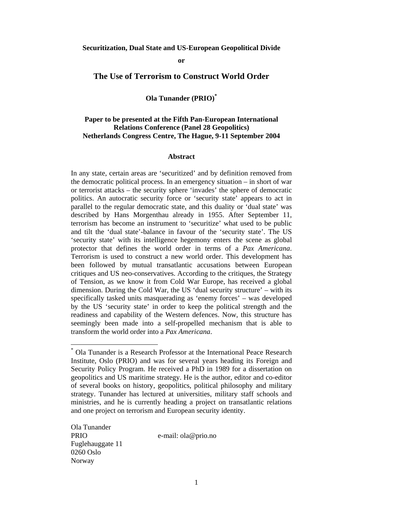#### **or**

## **The Use of Terrorism to Construct World Order**

**Ola Tunander (PRIO)\***

# **Paper to be presented at the Fifth Pan-European International Relations Conference (Panel 28 Geopolitics) Netherlands Congress Centre, The Hague, 9-11 September 2004**

#### **Abstract**

In any state, certain areas are 'securitized' and by definition removed from the democratic political process. In an emergency situation – in short of war or terrorist attacks – the security sphere 'invades' the sphere of democratic politics. An autocratic security force or 'security state' appears to act in parallel to the regular democratic state, and this duality or 'dual state' was described by Hans Morgenthau already in 1955. After September 11, terrorism has become an instrument to 'securitize' what used to be public and tilt the 'dual state'-balance in favour of the 'security state'. The US 'security state' with its intelligence hegemony enters the scene as global protector that defines the world order in terms of a *Pax Americana*. Terrorism is used to construct a new world order. This development has been followed by mutual transatlantic accusations between European critiques and US neo-conservatives. According to the critiques, the Strategy of Tension, as we know it from Cold War Europe, has received a global dimension. During the Cold War, the US 'dual security structure' – with its specifically tasked units masquerading as 'enemy forces' – was developed by the US 'security state' in order to keep the political strength and the readiness and capability of the Western defences. Now, this structure has seemingly been made into a self-propelled mechanism that is able to transform the world order into a *Pax Americana*.

Ola Tunander PRIO e-mail: ola@prio.no Fuglehauggate 11 0260 Oslo Norway

<sup>\*</sup> Ola Tunander is a Research Professor at the International Peace Research Institute, Oslo (PRIO) and was for several years heading its Foreign and Security Policy Program. He received a PhD in 1989 for a dissertation on geopolitics and US maritime strategy. He is the author, editor and co-editor of several books on history, geopolitics, political philosophy and military strategy. Tunander has lectured at universities, military staff schools and ministries, and he is currently heading a project on transatlantic relations and one project on terrorism and European security identity.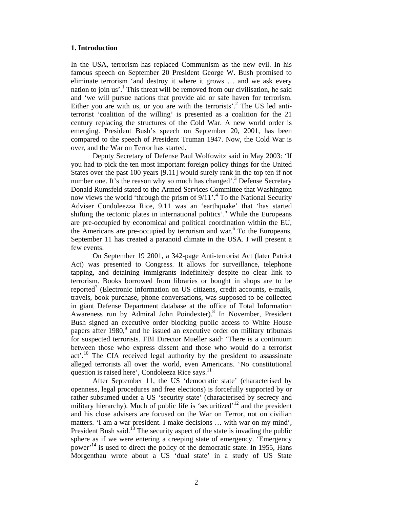### **1. Introduction**

In the USA, terrorism has replaced Communism as the new evil. In his famous speech on September 20 President George W. Bush promised to eliminate terrorism 'and destroy it where it grows … and we ask every nation to join us'.<sup>1</sup> This threat will be removed from our civilisation, he said and 'we will pursue nations that provide aid or safe haven for terrorism. Either you are with us, or you are with the terrorists'.<sup>2</sup> The US led antiterrorist 'coalition of the willing' is presented as a coalition for the 21 century replacing the structures of the Cold War. A new world order is emerging. President Bush's speech on September 20, 2001, has been compared to the speech of President Truman 1947. Now, the Cold War is over, and the War on Terror has started.

Deputy Secretary of Defense Paul Wolfowitz said in May 2003: 'If you had to pick the ten most important foreign policy things for the United States over the past 100 years [9.11] would surely rank in the top ten if not number one. It's the reason why so much has changed'.<sup>3</sup> Defense Secretary Donald Rumsfeld stated to the Armed Services Committee that Washington now views the world 'through the prism of  $9/11$ '.<sup>4</sup> To the National Security Adviser Condoleezza Rice, 9.11 was an 'earthquake' that 'has started shifting the tectonic plates in international politics<sup> $5.5$ </sup> While the Europeans are pre-occupied by economical and political coordination within the EU, the Americans are pre-occupied by terrorism and war.<sup>6</sup> To the Europeans, September 11 has created a paranoid climate in the USA. I will present a few events.

On September 19 2001, a 342-page Anti-terrorist Act (later Patriot Act) was presented to Congress. It allows for surveillance, telephone tapping, and detaining immigrants indefinitely despite no clear link to terrorism. Books borrowed from libraries or bought in shops are to be reported<sup>7</sup> (Electronic information on US citizens, credit accounts, e-mails, travels, book purchase, phone conversations, was supposed to be collected in giant Defense Department database at the office of Total Information Awareness run by Admiral John Poindexter).<sup>8</sup> In November, President Bush signed an executive order blocking public access to White House papers after 1980,<sup>9</sup> and he issued an executive order on military tribunals for suspected terrorists. FBI Director Mueller said: 'There is a continuum between those who express dissent and those who would do a terrorist act'.<sup>10</sup> The CIA received legal authority by the president to assassinate alleged terrorists all over the world, even Americans. 'No constitutional question is raised here', Condoleeza Rice says.<sup>11</sup>

After September 11, the US 'democratic state' (characterised by openness, legal procedures and free elections) is forcefully supported by or rather subsumed under a US 'security state' (characterised by secrecy and military hierarchy). Much of public life is 'securitized'<sup>12</sup> and the president and his close advisers are focused on the War on Terror, not on civilian matters. 'I am a war president. I make decisions … with war on my mind', President Bush said.<sup>13</sup> The security aspect of the state is invading the public sphere as if we were entering a creeping state of emergency. 'Emergency power<sup>14</sup> is used to direct the policy of the democratic state. In 1955, Hans Morgenthau wrote about a US 'dual state' in a study of US State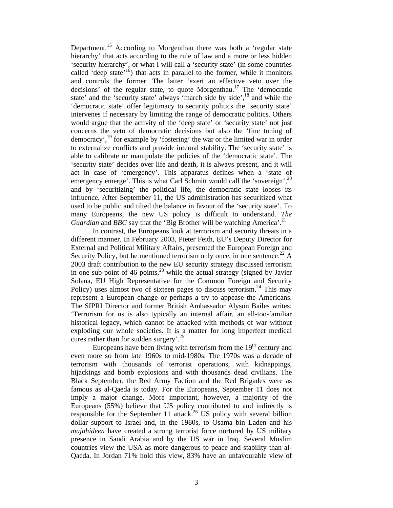Department.<sup>15</sup> According to Morgenthau there was both a 'regular state hierarchy' that acts according to the rule of law and a more or less hidden 'security hierarchy', or what I will call a 'security state' (in some countries called 'deep state'<sup>16</sup>) that acts in parallel to the former, while it monitors and controls the former. The latter 'exert an effective veto over the decisions' of the regular state, to quote Morgenthau.<sup>17</sup> The 'democratic state' and the 'security state' always 'march side by side', $^{18}$  and while the 'democratic state' offer legitimacy to security politics the 'security state' intervenes if necessary by limiting the range of democratic politics. Others would argue that the activity of the 'deep state' or 'security state' not just concerns the veto of democratic decisions but also the 'fine tuning of democracy',19 for example by 'fostering' the war or the limited war in order to externalize conflicts and provide internal stability. The 'security state' is able to calibrate or manipulate the policies of the 'democratic state'. The 'security state' decides over life and death, it is always present, and it will act in case of 'emergency'. This apparatus defines when a 'state of emergency emerge'. This is what Carl Schmitt would call the 'sovereign',<sup>20</sup> and by 'securitizing' the political life, the democratic state looses its influence. After September 11, the US administration has securitized what used to be public and tilted the balance in favour of the 'security state'. To many Europeans, the new US policy is difficult to understand. *The Guardian* and *BBC* say that the 'Big Brother will be watching America'.<sup>21</sup>

In contrast, the Europeans look at terrorism and security threats in a different manner. In February 2003, Pieter Feith, EU's Deputy Director for External and Political Military Affairs, presented the European Foreign and Security Policy, but he mentioned terrorism only once, in one sentence.<sup>22</sup> A 2003 draft contribution to the new EU security strategy discussed terrorism in one sub-point of 46 points, $^{23}$  while the actual strategy (signed by Javier Solana, EU High Representative for the Common Foreign and Security Policy) uses almost two of sixteen pages to discuss terrorism.<sup>24</sup> This may represent a European change or perhaps a try to appease the Americans. The SIPRI Director and former British Ambassador Alyson Bailes writes: 'Terrorism for us is also typically an internal affair, an all-too-familiar historical legacy, which cannot be attacked with methods of war without exploding our whole societies. It is a matter for long imperfect medical cures rather than for sudden surgery'.<sup>25</sup>

Europeans have been living with terrorism from the  $19<sup>th</sup>$  century and even more so from late 1960s to mid-1980s. The 1970s was a decade of terrorism with thousands of terrorist operations, with kidnappings, hijackings and bomb explosions and with thousands dead civilians. The Black September, the Red Army Faction and the Red Brigades were as famous as al-Qaeda is today. For the Europeans, September 11 does not imply a major change. More important, however, a majority of the Europeans (55%) believe that US policy contributed to and indirectly is responsible for the September 11 attack.<sup>26</sup> US policy with several billion dollar support to Israel and, in the 1980s, to Osama bin Laden and his *mujahideen* have created a strong terrorist force nurtured by US military presence in Saudi Arabia and by the US war in Iraq. Several Muslim countries view the USA as more dangerous to peace and stability than al-Qaeda. In Jordan 71% hold this view, 83% have an unfavourable view of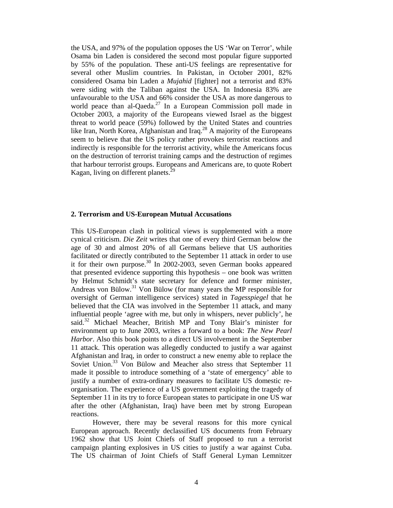the USA, and 97% of the population opposes the US 'War on Terror', while Osama bin Laden is considered the second most popular figure supported by 55% of the population. These anti-US feelings are representative for several other Muslim countries. In Pakistan, in October 2001, 82% considered Osama bin Laden a *Mujahid* [fighter] not a terrorist and 83% were siding with the Taliban against the USA. In Indonesia 83% are unfavourable to the USA and 66% consider the USA as more dangerous to world peace than al-Qaeda.<sup>27</sup> In a European Commission poll made in October 2003, a majority of the Europeans viewed Israel as the biggest threat to world peace (59%) followed by the United States and countries like Iran, North Korea, Afghanistan and Iraq.<sup>28</sup> A majority of the Europeans seem to believe that the US policy rather provokes terrorist reactions and indirectly is responsible for the terrorist activity, while the Americans focus on the destruction of terrorist training camps and the destruction of regimes that harbour terrorist groups. Europeans and Americans are, to quote Robert Kagan, living on different planets.<sup>29</sup>

#### **2. Terrorism and US-European Mutual Accusations**

This US-European clash in political views is supplemented with a more cynical criticism. *Die Zeit* writes that one of every third German below the age of 30 and almost 20% of all Germans believe that US authorities facilitated or directly contributed to the September 11 attack in order to use it for their own purpose.<sup>30</sup> In 2002-2003, seven German books appeared that presented evidence supporting this hypothesis – one book was written by Helmut Schmidt's state secretary for defence and former minister, Andreas von Bülow.31 Von Bülow (for many years the MP responsible for oversight of German intelligence services) stated in *Tagesspiegel* that he believed that the CIA was involved in the September 11 attack, and many influential people 'agree with me, but only in whispers, never publicly', he said.<sup>32</sup> Michael Meacher, British MP and Tony Blair's minister for environment up to June 2003, writes a forward to a book: *The New Pearl Harbor*. Also this book points to a direct US involvement in the September 11 attack. This operation was allegedly conducted to justify a war against Afghanistan and Iraq, in order to construct a new enemy able to replace the Soviet Union.<sup>33</sup> Von Bülow and Meacher also stress that September 11 made it possible to introduce something of a 'state of emergency' able to justify a number of extra-ordinary measures to facilitate US domestic reorganisation. The experience of a US government exploiting the tragedy of September 11 in its try to force European states to participate in one US war after the other (Afghanistan, Iraq) have been met by strong European reactions.

However, there may be several reasons for this more cynical European approach. Recently declassified US documents from February 1962 show that US Joint Chiefs of Staff proposed to run a terrorist campaign planting explosives in US cities to justify a war against Cuba. The US chairman of Joint Chiefs of Staff General Lyman Lemnitzer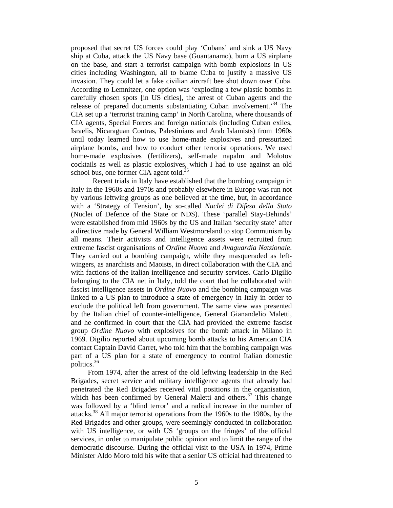proposed that secret US forces could play 'Cubans' and sink a US Navy ship at Cuba, attack the US Navy base (Guantanamo), burn a US airplane on the base, and start a terrorist campaign with bomb explosions in US cities including Washington, all to blame Cuba to justify a massive US invasion. They could let a fake civilian aircraft bee shot down over Cuba. According to Lemnitzer, one option was 'exploding a few plastic bombs in carefully chosen spots [in US cities], the arrest of Cuban agents and the release of prepared documents substantiating Cuban involvement.<sup>34</sup> The CIA set up a 'terrorist training camp' in North Carolina, where thousands of CIA agents, Special Forces and foreign nationals (including Cuban exiles, Israelis, Nicaraguan Contras, Palestinians and Arab Islamists) from 1960s until today learned how to use home-made explosives and pressurized airplane bombs, and how to conduct other terrorist operations. We used home-made explosives (fertilizers), self-made napalm and Molotov cocktails as well as plastic explosives, which I had to use against an old school bus, one former CIA agent told.<sup>35</sup>

Recent trials in Italy have established that the bombing campaign in Italy in the 1960s and 1970s and probably elsewhere in Europe was run not by various leftwing groups as one believed at the time, but, in accordance with a 'Strategy of Tension', by so-called *Nuclei di Difesa della Stato*  (Nuclei of Defence of the State or NDS). These 'parallel Stay-Behinds' were established from mid 1960s by the US and Italian 'security state' after a directive made by General William Westmoreland to stop Communism by all means. Their activists and intelligence assets were recruited from extreme fascist organisations of *Ordine Nuovo* and *Avaguardia Natzionale*. They carried out a bombing campaign, while they masqueraded as leftwingers, as anarchists and Maoists, in direct collaboration with the CIA and with factions of the Italian intelligence and security services. Carlo Digilio belonging to the CIA net in Italy, told the court that he collaborated with fascist intelligence assets in *Ordine Nuovo* and the bombing campaign was linked to a US plan to introduce a state of emergency in Italy in order to exclude the political left from government. The same view was presented by the Italian chief of counter-intelligence, General Gianandelio Maletti, and he confirmed in court that the CIA had provided the extreme fascist group *Ordine Nuovo* with explosives for the bomb attack in Milano in 1969. Digilio reported about upcoming bomb attacks to his American CIA contact Captain David Carret, who told him that the bombing campaign was part of a US plan for a state of emergency to control Italian domestic politics.36

From 1974, after the arrest of the old leftwing leadership in the Red Brigades, secret service and military intelligence agents that already had penetrated the Red Brigades received vital positions in the organisation, which has been confirmed by General Maletti and others.<sup>37</sup> This change was followed by a 'blind terror' and a radical increase in the number of attacks.<sup>38</sup> All major terrorist operations from the 1960s to the 1980s, by the Red Brigades and other groups, were seemingly conducted in collaboration with US intelligence, or with US 'groups on the fringes' of the official services, in order to manipulate public opinion and to limit the range of the democratic discourse. During the official visit to the USA in 1974, Prime Minister Aldo Moro told his wife that a senior US official had threatened to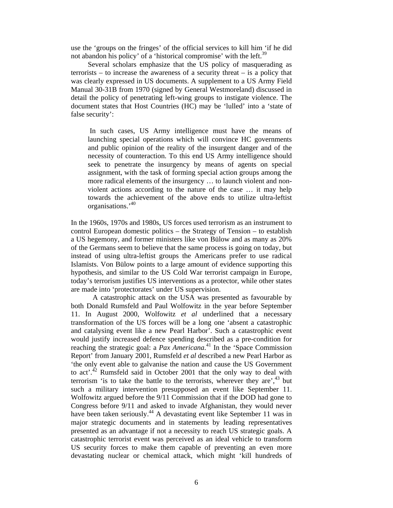use the 'groups on the fringes' of the official services to kill him 'if he did not abandon his policy' of a 'historical compromise' with the left.<sup>39</sup>

Several scholars emphasize that the US policy of masquerading as terrorists – to increase the awareness of a security threat – is a policy that was clearly expressed in US documents. A supplement to a US Army Field Manual 30-31B from 1970 (signed by General Westmoreland) discussed in detail the policy of penetrating left-wing groups to instigate violence. The document states that Host Countries (HC) may be 'lulled' into a 'state of false security':

 In such cases, US Army intelligence must have the means of launching special operations which will convince HC governments and public opinion of the reality of the insurgent danger and of the necessity of counteraction. To this end US Army intelligence should seek to penetrate the insurgency by means of agents on special assignment, with the task of forming special action groups among the more radical elements of the insurgency … to launch violent and nonviolent actions according to the nature of the case … it may help towards the achievement of the above ends to utilize ultra-leftist organisations.'40

In the 1960s, 1970s and 1980s, US forces used terrorism as an instrument to control European domestic politics – the Strategy of Tension – to establish a US hegemony, and former ministers like von Bülow and as many as 20% of the Germans seem to believe that the same process is going on today, but instead of using ultra-leftist groups the Americans prefer to use radical Islamists. Von Bülow points to a large amount of evidence supporting this hypothesis, and similar to the US Cold War terrorist campaign in Europe, today's terrorism justifies US interventions as a protector, while other states are made into 'protectorates' under US supervision.

A catastrophic attack on the USA was presented as favourable by both Donald Rumsfeld and Paul Wolfowitz in the year before September 11. In August 2000, Wolfowitz *et al* underlined that a necessary transformation of the US forces will be a long one 'absent a catastrophic and catalysing event like a new Pearl Harbor'. Such a catastrophic event would justify increased defence spending described as a pre-condition for reaching the strategic goal: a *Pax Americana*.<sup>41</sup> In the 'Space Commission Report' from January 2001, Rumsfeld *et al* described a new Pearl Harbor as 'the only event able to galvanise the nation and cause the US Government to act'.<sup>42</sup> Rumsfeld said in October 2001 that the only way to deal with terrorism 'is to take the battle to the terrorists, wherever they are', $43$  but such a military intervention presupposed an event like September 11. Wolfowitz argued before the 9/11 Commission that if the DOD had gone to Congress before 9/11 and asked to invade Afghanistan, they would never have been taken seriously.<sup>44</sup> A devastating event like September 11 was in major strategic documents and in statements by leading representatives presented as an advantage if not a necessity to reach US strategic goals. A catastrophic terrorist event was perceived as an ideal vehicle to transform US security forces to make them capable of preventing an even more devastating nuclear or chemical attack, which might 'kill hundreds of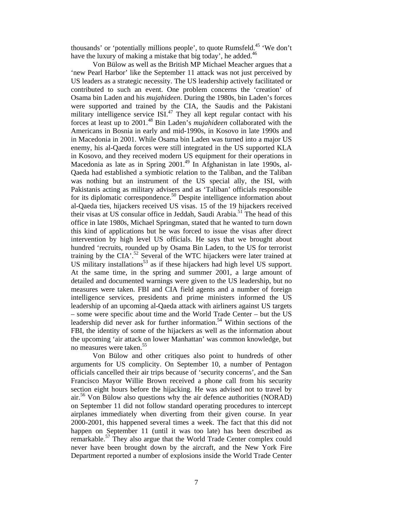thousands' or 'potentially millions people', to quote Rumsfeld.<sup>45</sup> 'We don't have the luxury of making a mistake that big today', he added.<sup>46</sup>

Von Bülow as well as the British MP Michael Meacher argues that a 'new Pearl Harbor' like the September 11 attack was not just perceived by US leaders as a strategic necessity. The US leadership actively facilitated or contributed to such an event. One problem concerns the 'creation' of Osama bin Laden and his *mujahideen*. During the 1980s, bin Laden's forces were supported and trained by the CIA, the Saudis and the Pakistani military intelligence service  $ISI<sub>1</sub><sup>47</sup>$  They all kept regular contact with his forces at least up to 2001.48 Bin Laden's *mujahideen* collaborated with the Americans in Bosnia in early and mid-1990s, in Kosovo in late 1990s and in Macedonia in 2001. While Osama bin Laden was turned into a major US enemy, his al-Qaeda forces were still integrated in the US supported KLA in Kosovo, and they received modern US equipment for their operations in Macedonia as late as in Spring 2001.<sup>49</sup> In Afghanistan in late 1990s, al-Qaeda had established a symbiotic relation to the Taliban, and the Taliban was nothing but an instrument of the US special ally, the ISI, with Pakistanis acting as military advisers and as 'Taliban' officials responsible for its diplomatic correspondence.<sup>50</sup> Despite intelligence information about al-Qaeda ties, hijackers received US visas. 15 of the 19 hijackers received their visas at US consular office in Jeddah, Saudi Arabia.<sup>51</sup> The head of this office in late 1980s, Michael Springman, stated that he wanted to turn down this kind of applications but he was forced to issue the visas after direct intervention by high level US officials. He says that we brought about hundred 'recruits, rounded up by Osama Bin Laden, to the US for terrorist training by the CIA'.<sup>52</sup> Several of the WTC hijackers were later trained at US military installations<sup>53</sup> as if these hijackers had high level US support. At the same time, in the spring and summer 2001, a large amount of detailed and documented warnings were given to the US leadership, but no measures were taken. FBI and CIA field agents and a number of foreign intelligence services, presidents and prime ministers informed the US leadership of an upcoming al-Qaeda attack with airliners against US targets – some were specific about time and the World Trade Center – but the US leadership did never ask for further information.<sup>54</sup> Within sections of the FBI, the identity of some of the hijackers as well as the information about the upcoming 'air attack on lower Manhattan' was common knowledge, but no measures were taken.<sup>55</sup>

Von Bülow and other critiques also point to hundreds of other arguments for US complicity. On September 10, a number of Pentagon officials cancelled their air trips because of 'security concerns', and the San Francisco Mayor Willie Brown received a phone call from his security section eight hours before the hijacking. He was advised not to travel by  $air<sup>56</sup>$  Von Bülow also questions why the air defence authorities (NORAD) on September 11 did not follow standard operating procedures to intercept airplanes immediately when diverting from their given course. In year 2000-2001, this happened several times a week. The fact that this did not happen on September 11 (until it was too late) has been described as remarkable.57 They also argue that the World Trade Center complex could never have been brought down by the aircraft, and the New York Fire Department reported a number of explosions inside the World Trade Center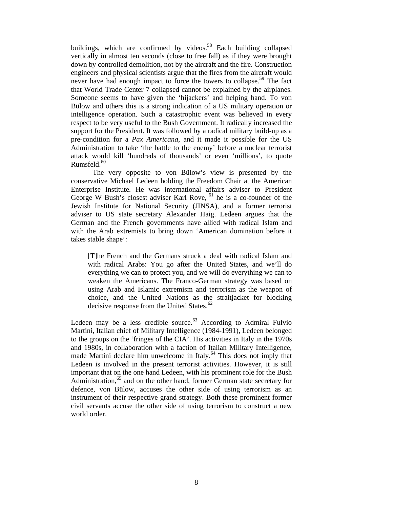buildings, which are confirmed by videos.<sup>58</sup> Each building collapsed vertically in almost ten seconds (close to free fall) as if they were brought down by controlled demolition, not by the aircraft and the fire. Construction engineers and physical scientists argue that the fires from the aircraft would never have had enough impact to force the towers to collapse.<sup>59</sup> The fact that World Trade Center 7 collapsed cannot be explained by the airplanes. Someone seems to have given the 'hijackers' and helping hand. To von Bülow and others this is a strong indication of a US military operation or intelligence operation. Such a catastrophic event was believed in every respect to be very useful to the Bush Government. It radically increased the support for the President. It was followed by a radical military build-up as a pre-condition for a *Pax Americana*, and it made it possible for the US Administration to take 'the battle to the enemy' before a nuclear terrorist attack would kill 'hundreds of thousands' or even 'millions', to quote Rumsfeld. $60<sup>60</sup>$ 

The very opposite to von Bülow's view is presented by the conservative Michael Ledeen holding the Freedom Chair at the American Enterprise Institute. He was international affairs adviser to President George W Bush's closest adviser Karl Rove,  $61$  he is a co-founder of the Jewish Institute for National Security (JINSA), and a former terrorist adviser to US state secretary Alexander Haig. Ledeen argues that the German and the French governments have allied with radical Islam and with the Arab extremists to bring down 'American domination before it takes stable shape':

[T]he French and the Germans struck a deal with radical Islam and with radical Arabs: You go after the United States, and we'll do everything we can to protect you, and we will do everything we can to weaken the Americans. The Franco-German strategy was based on using Arab and Islamic extremism and terrorism as the weapon of choice, and the United Nations as the straitjacket for blocking decisive response from the United States.<sup>62</sup>

Ledeen may be a less credible source. $^{63}$  According to Admiral Fulvio Martini, Italian chief of Military Intelligence (1984-1991), Ledeen belonged to the groups on the 'fringes of the CIA'. His activities in Italy in the 1970s and 1980s, in collaboration with a faction of Italian Military Intelligence, made Martini declare him unwelcome in Italy.<sup>64</sup> This does not imply that Ledeen is involved in the present terrorist activities. However, it is still important that on the one hand Ledeen, with his prominent role for the Bush Administration,<sup>65</sup> and on the other hand, former German state secretary for defence, von Bülow, accuses the other side of using terrorism as an instrument of their respective grand strategy. Both these prominent former civil servants accuse the other side of using terrorism to construct a new world order.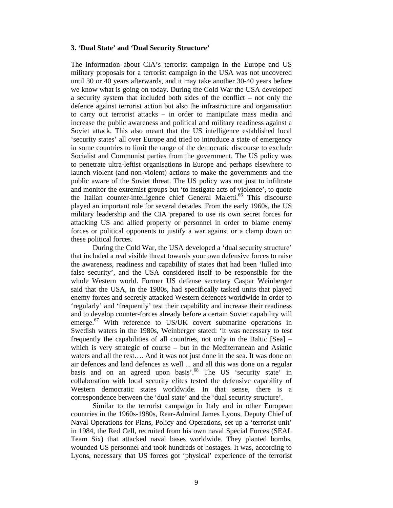#### **3. 'Dual State' and 'Dual Security Structure'**

The information about CIA's terrorist campaign in the Europe and US military proposals for a terrorist campaign in the USA was not uncovered until 30 or 40 years afterwards, and it may take another 30-40 years before we know what is going on today. During the Cold War the USA developed a security system that included both sides of the conflict – not only the defence against terrorist action but also the infrastructure and organisation to carry out terrorist attacks – in order to manipulate mass media and increase the public awareness and political and military readiness against a Soviet attack. This also meant that the US intelligence established local 'security states' all over Europe and tried to introduce a state of emergency in some countries to limit the range of the democratic discourse to exclude Socialist and Communist parties from the government. The US policy was to penetrate ultra-leftist organisations in Europe and perhaps elsewhere to launch violent (and non-violent) actions to make the governments and the public aware of the Soviet threat. The US policy was not just to infiltrate and monitor the extremist groups but 'to instigate acts of violence', to quote the Italian counter-intelligence chief General Maletti.<sup>66</sup> This discourse played an important role for several decades. From the early 1960s, the US military leadership and the CIA prepared to use its own secret forces for attacking US and allied property or personnel in order to blame enemy forces or political opponents to justify a war against or a clamp down on these political forces.

During the Cold War, the USA developed a 'dual security structure' that included a real visible threat towards your own defensive forces to raise the awareness, readiness and capability of states that had been 'lulled into false security', and the USA considered itself to be responsible for the whole Western world. Former US defense secretary Caspar Weinberger said that the USA, in the 1980s, had specifically tasked units that played enemy forces and secretly attacked Western defences worldwide in order to 'regularly' and 'frequently' test their capability and increase their readiness and to develop counter-forces already before a certain Soviet capability will emerge.<sup>67</sup> With reference to US/UK covert submarine operations in Swedish waters in the 1980s, Weinberger stated: 'it was necessary to test frequently the capabilities of all countries, not only in the Baltic [Sea] – which is very strategic of course – but in the Mediterranean and Asiatic waters and all the rest…. And it was not just done in the sea. It was done on air defences and land defences as well ... and all this was done on a regular basis and on an agreed upon basis'.<sup>68</sup> The US 'security state' in collaboration with local security elites tested the defensive capability of Western democratic states worldwide. In that sense, there is a correspondence between the 'dual state' and the 'dual security structure'.

Similar to the terrorist campaign in Italy and in other European countries in the 1960s-1980s, Rear-Admiral James Lyons, Deputy Chief of Naval Operations for Plans, Policy and Operations, set up a 'terrorist unit' in 1984, the Red Cell, recruited from his own naval Special Forces (SEAL Team Six) that attacked naval bases worldwide. They planted bombs, wounded US personnel and took hundreds of hostages. It was, according to Lyons, necessary that US forces got 'physical' experience of the terrorist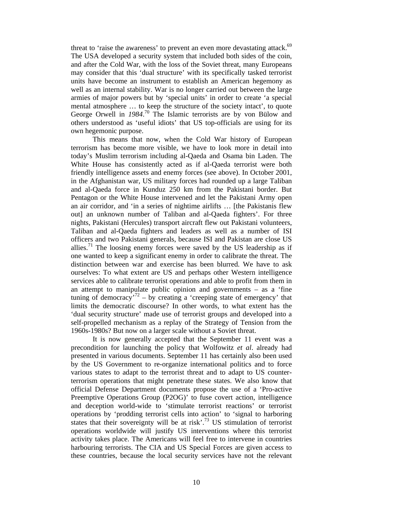threat to 'raise the awareness' to prevent an even more devastating attack.<sup>69</sup> The USA developed a security system that included both sides of the coin, and after the Cold War, with the loss of the Soviet threat, many Europeans may consider that this 'dual structure' with its specifically tasked terrorist units have become an instrument to establish an American hegemony as well as an internal stability. War is no longer carried out between the large armies of major powers but by 'special units' in order to create 'a special mental atmosphere … to keep the structure of the society intact', to quote George Orwell in *1984*. 70 The Islamic terrorists are by von Bülow and others understood as 'useful idiots' that US top-officials are using for its own hegemonic purpose.

This means that now, when the Cold War history of European terrorism has become more visible, we have to look more in detail into today's Muslim terrorism including al-Qaeda and Osama bin Laden. The White House has consistently acted as if al-Qaeda terrorist were both friendly intelligence assets and enemy forces (see above). In October 2001, in the Afghanistan war, US military forces had rounded up a large Taliban and al-Qaeda force in Kunduz 250 km from the Pakistani border. But Pentagon or the White House intervened and let the Pakistani Army open an air corridor, and 'in a series of nightime airlifts … [the Pakistanis flew out] an unknown number of Taliban and al-Qaeda fighters'. For three nights, Pakistani (Hercules) transport aircraft flew out Pakistani volunteers, Taliban and al-Qaeda fighters and leaders as well as a number of ISI officers and two Pakistani generals, because ISI and Pakistan are close US allies.<sup>71</sup> The loosing enemy forces were saved by the US leadership as if one wanted to keep a significant enemy in order to calibrate the threat. The distinction between war and exercise has been blurred. We have to ask ourselves: To what extent are US and perhaps other Western intelligence services able to calibrate terrorist operations and able to profit from them in an attempt to manipulate public opinion and governments – as a 'fine tuning of democracy<sup>72</sup> – by creating a 'creeping state of emergency' that limits the democratic discourse? In other words, to what extent has the 'dual security structure' made use of terrorist groups and developed into a self-propelled mechanism as a replay of the Strategy of Tension from the 1960s-1980s? But now on a larger scale without a Soviet threat.

It is now generally accepted that the September 11 event was a precondition for launching the policy that Wolfowitz *et al*. already had presented in various documents. September 11 has certainly also been used by the US Government to re-organize international politics and to force various states to adapt to the terrorist threat and to adapt to US counterterrorism operations that might penetrate these states. We also know that official Defense Department documents propose the use of a 'Pro-active Preemptive Operations Group (P2OG)' to fuse covert action, intelligence and deception world-wide to 'stimulate terrorist reactions' or terrorist operations by 'prodding terrorist cells into action' to 'signal to harboring states that their sovereignty will be at risk'.<sup>73</sup> US stimulation of terrorist operations worldwide will justify US interventions where this terrorist activity takes place. The Americans will feel free to intervene in countries harbouring terrorists. The CIA and US Special Forces are given access to these countries, because the local security services have not the relevant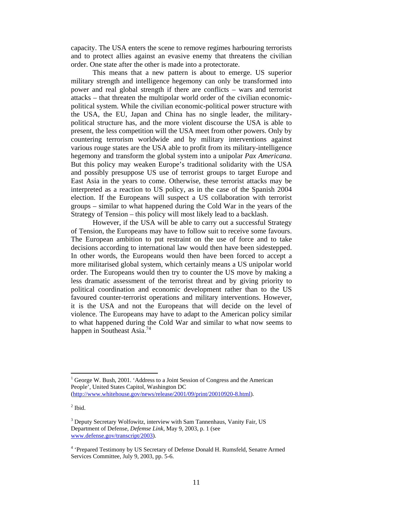capacity. The USA enters the scene to remove regimes harbouring terrorists and to protect allies against an evasive enemy that threatens the civilian order. One state after the other is made into a protectorate.

This means that a new pattern is about to emerge. US superior military strength and intelligence hegemony can only be transformed into power and real global strength if there are conflicts – wars and terrorist attacks – that threaten the multipolar world order of the civilian economicpolitical system. While the civilian economic-political power structure with the USA, the EU, Japan and China has no single leader, the militarypolitical structure has, and the more violent discourse the USA is able to present, the less competition will the USA meet from other powers. Only by countering terrorism worldwide and by military interventions against various rouge states are the USA able to profit from its military-intelligence hegemony and transform the global system into a unipolar *Pax Americana*. But this policy may weaken Europe's traditional solidarity with the USA and possibly presuppose US use of terrorist groups to target Europe and East Asia in the years to come. Otherwise, these terrorist attacks may be interpreted as a reaction to US policy, as in the case of the Spanish 2004 election. If the Europeans will suspect a US collaboration with terrorist groups – similar to what happened during the Cold War in the years of the Strategy of Tension – this policy will most likely lead to a backlash.

However, if the USA will be able to carry out a successful Strategy of Tension, the Europeans may have to follow suit to receive some favours. The European ambition to put restraint on the use of force and to take decisions according to international law would then have been sidestepped. In other words, the Europeans would then have been forced to accept a more militarised global system, which certainly means a US unipolar world order. The Europeans would then try to counter the US move by making a less dramatic assessment of the terrorist threat and by giving priority to political coordination and economic development rather than to the US favoured counter-terrorist operations and military interventions. However, it is the USA and not the Europeans that will decide on the level of violence. The Europeans may have to adapt to the American policy similar to what happened during the Cold War and similar to what now seems to happen in Southeast Asia.<sup>74</sup>

 $\overline{a}$ 

<sup>&</sup>lt;sup>1</sup> George W. Bush, 2001. 'Address to a Joint Session of Congress and the American People', United States Capitol, Washington DC (http://www.whitehouse.gov/news/release/2001/09/print/20010920-8.html).

 $<sup>2</sup>$  Ibid.</sup>

<sup>&</sup>lt;sup>3</sup> Deputy Secretary Wolfowitz, interview with Sam Tannenhaus, Vanity Fair, US Department of Defense, *Defemse Link*, May 9, 2003, p. 1 (see www.defense.gov/transcript/2003).

<sup>&</sup>lt;sup>4</sup> 'Prepared Testimony by US Secretary of Defense Donald H. Rumsfeld, Senatre Armed Services Committee, July 9, 2003, pp. 5-6.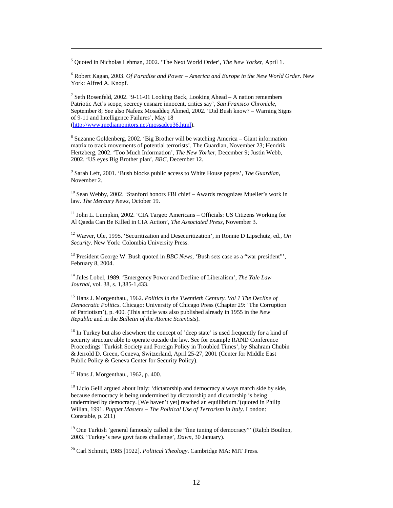5 Quoted in Nicholas Lehman, 2002. 'The Next World Order', *The New Yorker*, April 1.

-

6 Robert Kagan, 2003. *Of Paradise and Power – America and Europe in the New World Order*. New York: Alfred A. Knopf.

<sup>7</sup> Seth Rosenfeld, 2002. '9-11-01 Looking Back, Looking Ahead – A nation remembers Patriotic Act's scope, secrecy ensnare innocent, critics say', *San Fransico Chronicle*, September 8; See also Nafeez Mosaddeq Ahmed, 2002. 'Did Bush know? – Warning Signs of 9-11 and Intelligence Failures', May 18 (http://www.mediamonitors.net/mossadeq36.html).

<sup>8</sup> Suzanne Goldenberg, 2002. 'Big Brother will be watching America - Giant information matrix to track movements of potential terrorists', The Guardian, November 23; Hendrik Hertzberg, 2002. 'Too Much Information', *The New Yorker*, December 9; Justin Webb, 2002. 'US eyes Big Brother plan', *BBC*, December 12.

9 Sarah Left, 2001. 'Bush blocks public access to White House papers', *The Guardian*, November 2.

 $10$  Sean Webby, 2002. 'Stanford honors FBI chief – Awards recognizes Mueller's work in law. *The Mercury News,* October 19.

 $11$  John L. Lumpkin, 2002. 'CIA Target: Americans – Officials: US Citizens Working for Al Qaeda Can Be Killed in CIA Action', *The Associated Press*, November 3.

12 Wæver, Ole, 1995. 'Securitization and Desecuritization', in Ronnie D Lipschutz, ed., *On Security*. New York: Colombia University Press.

<sup>13</sup> President George W. Bush quoted in *BBC News*, 'Bush sets case as a "war president"', February 8, 2004.

14 Jules Lobel, 1989. 'Emergency Power and Decline of Liberalism', *The Yale Law Journal*, vol. 38, s. 1,385-1,433.

15 Hans J. Morgenthau., 1962. *Politics in the Twentieth Century. Vol 1 The Decline of Democratic Politics*. Chicago: University of Chicago Press (Chapter 29: 'The Corruption of Patriotism'), p. 400. (This article was also published already in 1955 in the *New Republic* and in the *Bulletin of the Atomic Scientists*).

<sup>16</sup> In Turkey but also elsewhere the concept of 'deep state' is used frequently for a kind of security structure able to operate outside the law. See for example RAND Conference Proceedings 'Turkish Society and Foreign Policy in Troubled Times', by Shahram Chubin & Jerrold D. Green, Geneva, Switzerland, April 25-27, 2001 (Center for Middle East Public Policy & Geneva Center for Security Policy).

17 Hans J. Morgenthau., 1962, p. 400.

<sup>18</sup> Licio Gelli argued about Italy: 'dictatorship and democracy always march side by side, because democracy is being undermined by dictatorship and dictatorship is being undermined by democracy. [We haven't yet] reached an equilibrium.'(quoted in Philip Willan, 1991. *Puppet Masters – The Political Use of Terrorism in Italy*. London: Constable, p. 211)

 $19$  One Turkish 'general famously called it the "fine tuning of democracy"' (Ralph Boulton, 2003. 'Turkey's new govt faces challenge', *Dawn*, 30 January).

20 Carl Schmitt, 1985 [1922]. *Political Theology*. Cambridge MA: MIT Press.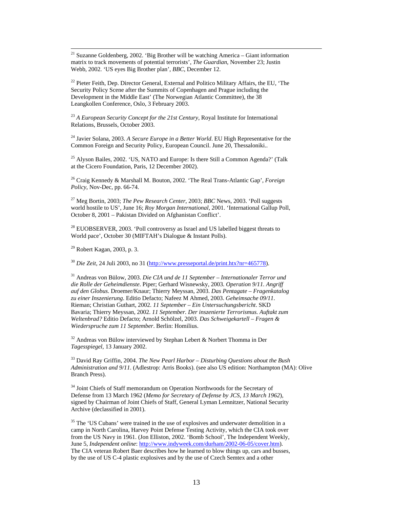$21$  Suzanne Goldenberg, 2002. 'Big Brother will be watching America – Giant information matrix to track movements of potential terrorists', *The Guardian*, November 23; Justin Webb, 2002. 'US eyes Big Brother plan', *BBC*, December 12.

 $^{22}$  Pieter Feith, Dep. Director General, External and Politico Military Affairs, the EU, 'The Security Policy Scene after the Summits of Copenhagen and Prague including the Development in the Middle East' (The Norwegian Atlantic Committee), the 38 Leangkollen Conference, Oslo, 3 February 2003.

<sup>23</sup> *A European Security Concept for the 21st Century*, Royal Institute for International Relations, Brussels, October 2003.

24 Javier Solana, 2003. *A Secure Europe in a Better World*. EU High Representative for the Common Foreign and Security Policy, European Council. June 20, Thessaloniki..

<sup>25</sup> Alyson Bailes, 2002. 'US, NATO and Europe: Is there Still a Common Agenda?' (Talk at the Cicero Foundation, Paris, 12 December 2002).

26 Craig Kennedy & Marshall M. Bouton, 2002. 'The Real Trans-Atlantic Gap', *Foreign Policy*, Nov-Dec, pp. 66-74.

27 Meg Bortin, 2003; *The Pew Research Center*, 2003; *BBC* News, 2003. 'Poll suggests world hostile to US', June 16; *Roy Morgan International*, 2001. 'International Gallup Poll, October 8, 2001 – Pakistan Divided on Afghanistan Conflict'.

 $^{28}$  EUOBSERVER, 2003. 'Poll controversy as Israel and US labelled biggest threats to World pace', October 30 (MIFTAH's Dialogue & Instant Polls).

29 Robert Kagan, 2003, p. 3.

<sup>30</sup> *Die Zeit*, 24 Juli 2003, no 31 (http://www.presseportal.de/print.htx?nr=465778).

31 Andreas von Bülow, 2003. *Die CIA und de 11 September – Internationaler Terror und die Rolle der Geheimdienste*. Piper; Gerhard Wisnewsky, 2003. *Operation 9/11. Angriff auf den Globus*. Droemer/Knaur; Thierry Meyssan, 2003. *Das Pentagate – Fragenkatalog zu einer Inszenierung*. Editio Defacto; Nafeez M Ahmed, 2003. *Geheimsache 09/11*. Rieman; Christian Guthart, 2002. *11 September – Ein Untersuchungsbericht*. SKD Bavaria; Thierry Meyssan, 2002. *11 September. Der inszenierte Terrorismus. Auftakt zum Weltenbrad?* Editio Defacto; Arnold Schölzel, 2003. *Das Schweigekartell – Fragen & Wiederspruche zum 11 September*. Berlin: Homilius.

 $32$  Andreas von Bülow interviewed by Stephan Lebert & Norbert Thomma in Der *Tagesspiegel*, 13 January 2002.

33 David Ray Griffin, 2004. *The New Pearl Harbor – Disturbing Questions about the Bush Administration and 9/11*. (Adlestrop: Arris Books). (see also US edition: Northampton (MA): Olive Branch Press).

<sup>34</sup> Joint Chiefs of Staff memorandum on Operation Northwoods for the Secretary of Defense from 13 March 1962 (*Memo for Secretary of Defense by JCS, 13 March 1962*), signed by Chairman of Joint Chiefs of Staff, General Lyman Lemnitzer, National Security Archive (declassified in 2001).

 $35$  The 'US Cubans' were trained in the use of explosives and underwater demolition in a camp in North Carolina, Harvey Point Defense Testing Activity, which the CIA took over from the US Navy in 1961. (Jon Elliston, 2002. 'Bomb School', The Independent Weekly, June 5, *Independent online*: http://www.indyweek.com/durham/2002-06-05/cover.htm). The CIA veteran Robert Baer describes how he learned to blow things up, cars and busses, by the use of US C-4 plastic explosives and by the use of Czech Semtex and a other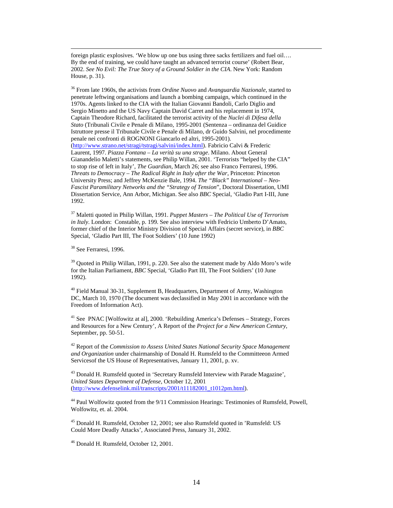foreign plastic explosives. 'We blow up one bus using three sacks fertilizers and fuel oil…. By the end of training, we could have taught an advanced terrorist course' (Robert Bear, 2002. *See No Evil: The True Story of a Ground Soldier in the CIA*. New York: Random House, p. 31).

36 From late 1960s, the activists from *Ordine Nuovo* and *Avanguardia Nazionale*, started to penetrate leftwing organisations and launch a bombing campaign, which continued in the 1970s. Agents linked to the CIA with the Italian Giovanni Bandoli, Carlo Diglio and Sergio Minetto and the US Navy Captain David Carret and his replacement in 1974, Captain Theodore Richard, facilitated the terrorist activity of the *Nuclei di Difesa della Stato* (Tribunali Civile e Penale di Milano, 1995-2001 (Sentenza – ordinanza del Guidice Istruttore presse il Tribunale Civile e Penale di Milano, dr Guido Salvini, nel procedimente penale nei confronti di ROGNONI Giancarlo ed altri, 1995-2001). (http://www.strano.net/stragi/tstragi/salvini/index.html). Fabricio Calvi & Frederic Laurent, 1997. *Piazza Fontana – La verità su una strage*. Milano. About General Gianandelio Maletti's statements, see Philip Willan, 2001. 'Terrorists "helped by the CIA" to stop rise of left in Italy', *The Guardian*, March 26; see also Franco Ferraresi, 1996. *Threats to Democracy – The Radical Right in Italy after the War*, Princeton: Princeton University Press; and Jeffrey McKenzie Bale, 1994. *The "Black" International – Neo-Fascist Paramilitary Networks and the "Strategy of Tension*", Doctoral Dissertation, UMI Dissertation Service, Ann Arbor, Michigan. See also *BBC* Special, 'Gladio Part I-III, June 1992.

37 Maletti quoted in Philip Willan, 1991. *Puppet Masters – The Political Use of Terrorism in Italy*. London: Constable, p. 199. See also interview with Fedricio Umberto D'Amato, former chief of the Interior Ministry Division of Special Affairs (secret service), in *BBC* Special, 'Gladio Part III, The Foot Soldiers' (10 June 1992)

38 See Ferraresi, 1996.

<sup>39</sup> Quoted in Philip Willan, 1991, p. 220. See also the statement made by Aldo Moro's wife for the Italian Parliament, *BBC* Special, 'Gladio Part III, The Foot Soldiers' (10 June 1992).

<sup>40</sup> Field Manual 30-31, Supplement B, Headquarters, Department of Army, Washington DC, March 10, 1970 (The document was declassified in May 2001 in accordance with the Freedom of Information Act).

 $41$  See PNAC [Wolfowitz at al], 2000. 'Rebuilding America's Defenses – Strategy, Forces and Resources for a New Century', A Report of the *Project for a New American Century*, September, pp. 50-51.

42 Report of the *Commission to Assess United States National Security Space Management and Organization* under chairmanship of Donald H. Rumsfeld to the Committeeon Armed Servicesof the US House of Representatives, January 11, 2001, p. xv.

<sup>43</sup> Donald H. Rumsfeld quoted in 'Secretary Rumsfeld Interview with Parade Magazine', *United States Department of Defense*, October 12, 2001 (http://www.defenselink.mil/transcripts/2001/t11182001\_t1012pm.html).

44 Paul Wolfowitz quoted from the 9/11 Commission Hearings: Testimonies of Rumsfeld, Powell, Wolfowitz, et. al. 2004.

45 Donald H. Rumsfeld, October 12, 2001; see also Rumsfeld quoted in 'Rumsfeld: US Could More Deadly Attacks', Associated Press, January 31, 2002.

46 Donald H. Rumsfeld, October 12, 2001.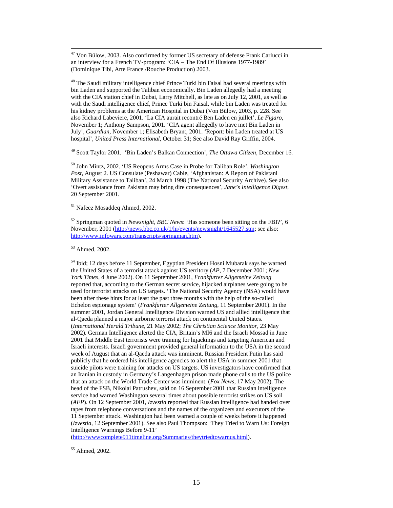<sup>47</sup> Von Bülow, 2003. Also confirmed by former US secretary of defense Frank Carlucci in an interview for a French TV-program: 'CIA – The End Of Illusions 1977-1989' (Dominique Tibi, Arte France /Rouche Production) 2003.

 $48$  The Saudi military intelligence chief Prince Turki bin Faisal had several meetings with bin Laden and supported the Taliban economically. Bin Laden allegedly had a meeting with the CIA station chief in Dubai, Larry Mitchell, as late as on July 12, 2001, as well as with the Saudi intelligence chief, Prince Turki bin Faisal, while bin Laden was treated for his kidney problems at the American Hospital in Dubai (Von Bülow, 2003, p. 228. See also Richard Labeviere, 2001. 'La CIA aurait recontré Ben Laden en juillet', *Le Figaro*, November 1; Anthony Sampson, 2001. 'CIA agent allegedly to have met Bin Laden in July', *Guardian*, November 1; Elisabeth Bryant, 2001. 'Report: bin Laden treated at US hospital', *United Press International*, October 31; See also David Ray Griffin, 2004.

49 Scott Taylor 2001. 'Bin Laden's Balkan Connection', *The Ottawa Citizen*, December 16.

50 John Mintz, 2002. 'US Reopens Arms Case in Probe for Taliban Role', *Washington Post*, August 2. US Consulate (Peshawar) Cable, 'Afghanistan: A Report of Pakistani Military Assistance to Taliban', 24 March 1998 (The National Security Archive). See also 'Overt assistance from Pakistan may bring dire consequences', *Jane's Intelligence Digest*, 20 September 2001.

51 Nafeez Mosaddeq Ahmed, 2002.

52 Springman quoted in *Newsnight, BBC News*: 'Has someone been sitting on the FBI?', 6 November, 2001 (http://news.bbc.co.uk/1/hi/events/newsnight/1645527.stm; see also: http://www.infowars.com/transcripts/springman.htm).

53 Ahmed, 2002.

54 Ibid; 12 days before 11 September, Egyptian President Hosni Mubarak says he warned the United States of a terrorist attack against US territory (*AP*, 7 December 2001; *New York Times*, 4 June 2002). On 11 September 2001, *Frankfurter Allgemeine Zeitung* reported that, according to the German secret service, hijacked airplanes were going to be used for terrorist attacks on US targets. 'The National Security Agency (NSA) would have been after these hints for at least the past three months with the help of the so-called Echelon espionage system' (*Frankfurter Allgemeine Zeitung*, 11 September 2001). In the summer 2001, Jordan General Intelligence Division warned US and allied intelligence that al-Qaeda planned a major airborne terrorist attack on continental United States. (*International Herald Tribune*, 21 May 2002; *The Christian Science Monitor*, 23 May 2002). German Intelligence alerted the CIA, Britain's MI6 and the Israeli Mossad in June 2001 that Middle East terrorists were training for hijackings and targeting American and Israeli interests. Israeli government provided general information to the USA in the second week of August that an al-Qaeda attack was imminent. Russian President Putin has said publicly that he ordered his intelligence agencies to alert the USA in summer 2001 that suicide pilots were training for attacks on US targets. US investigators have confirmed that an Iranian in custody in Germany's Langenhagen prison made phone calls to the US police that an attack on the World Trade Center was imminent. (*Fox News*, 17 May 2002). The head of the FSB, Nikolai Patrushev, said on 16 September 2001 that Russian intelligence service had warned Washington several times about possible terrorist strikes on US soil (*AFP*). On 12 September 2001, *Izvestia* reported that Russian intelligence had handed over tapes from telephone conversations and the names of the organizers and executors of the 11 September attack. Washington had been warned a couple of weeks before it happened (*Izvestia*, 12 September 2001). See also Paul Thompson: 'They Tried to Warn Us: Foreign Intelligence Warnings Before 9-11'

(http://wwwcomplete911timeline.org/Summaries/theytriedtowarnus.html).

55 Ahmed, 2002.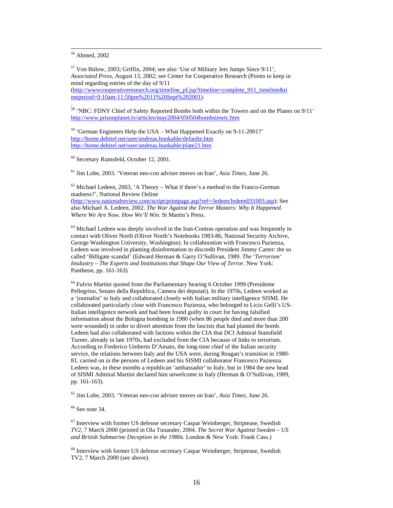56 Ahmed, 2002

.

57 Von Bülow, 2003; Griffin, 2004; see also 'Use of Military Jets Jumps Since 9/11', *Associated Press*, August 13, 2002; see Center for Cooperative Research (Points to keep in mind regarding entries of the day of 9/11 (http://www.cooperativeresearch.org/timeline\_pf.jsp?timeline=complete\_911\_timeline&ti meperiod=0:10am-11:50pm%2011%20Sept%202001).

58 'NBC: FDNY Chief of Safety Reported Bombs both within the Towers and on the Planes on 9/11' http://www.prisonplanet.tv/articles/may2004/050504bombsinwtc.htm

59 'German Engineers Help the USA – What Happened Exactly on 9-11-2001?' http://home.debitel.net/user/andreas.bunkahle/defaulte.htm http://home.debitel.net/user/andreas.bunkahle/plate21.htm

60 Secretary Rumsfeld, October 12, 2001.

61 Jim Lobe, 2003. 'Veteran neo-con adviser moves on Iran', *Asia Times*, June 26.

 $62$  Michael Ledeen, 2003, 'A Theory – What if there's a method to the Franco-German madness?', National Review Online (http://www.nationalreview.com/script/printpage.asp?ref=/ledeen/ledeen031003.asp); See also Michael A. Ledeen, 2002. *The War Against the Terror Masters: Why It Happened. Where We Are Now. How We'll Win*. St Martin's Press.

 $63$  Michael Ledeen was deeply involved in the Iran-Contras operation and was frequently in contact with Oliver North (Oliver North's Notebooks 1983-86, National Security Archive, George Washington University, Washington). In collaboration with Francesco Pazienza, Ledeen was involved in planting disinformation to discredit President Jimmy Carter: the so called 'Billigate scandal' (Edward Herman & Garry O'Sullivan, 1989. *The 'Terrorism' Insdustry – The Experts and Institutions that Shape Our View of Terror*. New York: Pantheon, pp. 161-163)

 $64$  Fulvio Martini quoted from the Parliamentary hearing 6 October 1999 (Presidente Pellegrino, Senato della Republica, Camera dei deputati). In the 1970s, Ledeen worked as a 'journalist' in Italy and collaborated closely with Italian military intelligence SISMI. He collaborated particularly close with Francesco Pazienza, who belonged to Licio Gelli's US-Italian intelligence network and had been found guilty in court for having falsified information about the Bologna bombing in 1980 (when 86 people died and more than 200 were wounded) in order to divert attention from the fascists that had planted the bomb. Ledeen had also collaborated with factions within the CIA that DCI Admiral Stansfield Turner, already in late 1970s, had excluded from the CIA because of links to terrorism. According to Frederico Umberto D'Amato, the long-time chief of the Italian security service, the relations between Italy and the USA were, during Reagan's transition in 1980- 81, carried on in the persons of Ledeen and his SISMI collaborator Francesco Pazienza. Ledeen was, in these months a republican 'ambassador' to Italy, but in 1984 the new head of SISMI Admiral Martini declared him unwelcome in Italy (Herman & O'Sullivan, 1989, pp. 161-163).

65 Jim Lobe, 2003. 'Veteran neo-con adviser moves on Iran', *Asia Times*, June 26.

 $66$  See note 34.

 $67$  Interview with former US defense secretary Caspar Weinberger, Striptease, Swedish *TV2*, 7 March 2000 (printed in Ola Tunander, 2004. *The Secret War Against Sweden – US and British Submarine Deception in the 1980s*. London & New York: Frank Cass.)

<sup>68</sup> Interview with former US defense secretary Caspar Weinberger, Striptease, Swedish TV2, 7 March 2000 (see above).